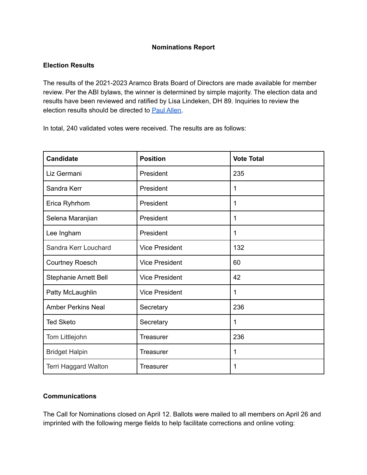## **Nominations Report**

### **Election Results**

The results of the 2021-2023 Aramco Brats Board of Directors are made available for member review. Per the ABI bylaws, the winner is determined by simple majority. The election data and results have been reviewed and ratified by Lisa Lindeken, DH 89. Inquiries to review the election results should be directed to Paul [Allen.](mailto:paul@aramco-brats.com)

In total, 240 validated votes were received. The results are as follows:

| <b>Candidate</b>             | <b>Position</b>       | <b>Vote Total</b> |
|------------------------------|-----------------------|-------------------|
| Liz Germani                  | President             | 235               |
| Sandra Kerr                  | President             | 1                 |
| Erica Ryhrhom                | President             | 1                 |
| Selena Maranjian             | President             | 1                 |
| Lee Ingham                   | President             | 1                 |
| Sandra Kerr Louchard         | <b>Vice President</b> | 132               |
| <b>Courtney Roesch</b>       | <b>Vice President</b> | 60                |
| <b>Stephanie Arnett Bell</b> | <b>Vice President</b> | 42                |
| Patty McLaughlin             | <b>Vice President</b> | 1                 |
| <b>Amber Perkins Neal</b>    | Secretary             | 236               |
| <b>Ted Sketo</b>             | Secretary             | 1                 |
| Tom Littlejohn               | <b>Treasurer</b>      | 236               |
| <b>Bridget Halpin</b>        | Treasurer             | 1                 |
| Terri Haggard Walton         | <b>Treasurer</b>      | 1                 |

#### **Communications**

The Call for Nominations closed on April 12. Ballots were mailed to all members on April 26 and imprinted with the following merge fields to help facilitate corrections and online voting: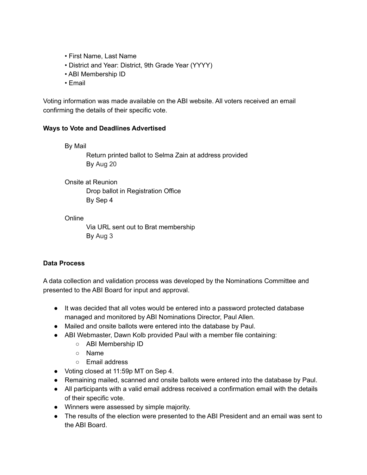- First Name, Last Name
- District and Year: District, 9th Grade Year (YYYY)
- ABI Membership ID
- Email

Voting information was made available on the ABI website. All voters received an email confirming the details of their specific vote.

#### **Ways to Vote and Deadlines Advertised**

By Mail

Return printed ballot to Selma Zain at address provided By Aug 20

Onsite at Reunion

Drop ballot in Registration Office By Sep 4

**Online** 

Via URL sent out to Brat membership By Aug 3

# **Data Process**

A data collection and validation process was developed by the Nominations Committee and presented to the ABI Board for input and approval.

- It was decided that all votes would be entered into a password protected database managed and monitored by ABI Nominations Director, Paul Allen.
- Mailed and onsite ballots were entered into the database by Paul.
- ABI Webmaster, Dawn Kolb provided Paul with a member file containing:
	- ABI Membership ID
	- Name
	- Email address
- Voting closed at 11:59p MT on Sep 4.
- Remaining mailed, scanned and onsite ballots were entered into the database by Paul.
- All participants with a valid email address received a confirmation email with the details of their specific vote.
- Winners were assessed by simple majority.
- The results of the election were presented to the ABI President and an email was sent to the ABI Board.